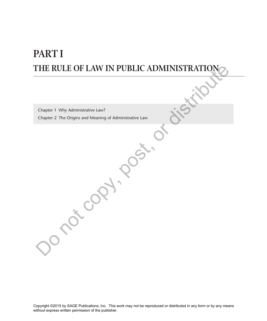# **PART I THE RULE OF LAW IN PUBLIC ADMINISTRATION**

Chapter 1 Why Administrative Law?

Chapter 2 The Origins and Meaning of Administrative Law

**Procential postsion in the parties of the public of the postsion of the public strain in the postsion of the po**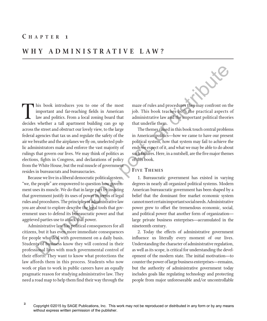# **WHY ADMINISTRATIVE LAW?**

This book introduces you to one of the most<br>important and far-reaching fields in American<br>law and politics. From a local zoning board that<br>decides whether a tall anartment building can go un important and far-reaching fields in American law and politics. From a local zoning board that decides whether a tall apartment building can go up across the street and obstruct our lovely view, to the large federal agencies that tax us and regulate the safety of the air we breathe and the airplanes we fly on, unelected public administrators make and enforce the vast majority of rulings that govern our lives. We may think of politics as elections, fights in Congress, and declarations of policy from the White House, but the real muscle of government resides in bureaucrats and bureaucracies. Whis book introduces you to one of the mast maze of rules and procedures the increase in the and the synchronic line and the master of the master of the publisher permission of the master of the publisher. The master of th

Because we live in a liberal democratic political system, "we, the people" are empowered to question how government uses its muscle. We do that in large part by insisting that government justify its uses of power in terms of legal rules and procedures. The principles of administrative law you are about to explore describe the legal tools that government uses to defend its bureaucratic power and that aggrieved parties use to attack that power.

Administrative law has political consequences for all citizens, but it has even more immediate consequences for people who deal with government on a daily basis. Students of business know they will contend in their professional lives with much governmental control of their efforts. They want to know what protections the law affords them in this process. Students who now work or plan to work in public careers have an equally pragmatic reason for studying administrative law. They need a road map to help them find their way through the

maze of rules and procedures they may confront on the job. This book teaches both the practical aspects of administrative law and the important political theories that underlie them.

The themes raised in this book touch central problems in American politics—how we came to have our present political system, how that system may fail to achieve the ends we expect of it, and what we may be able to do about such failures. Here, in a nutshell, are the five major themes of this book.

### **FIVE THEMES**

1. Bureaucratic government has existed in varying degrees in nearly all organized political systems. Modern American bureaucratic government has been shaped by a belief that the dominant free market economic system cannot meet certain important social needs. Administrative power grew to offset the tremendous economic, social, and political power that another form of organization large private business enterprises—accumulated in the nineteenth century.

2. Today the effects of administrative government influence us literally every moment of our lives. Understanding the character of administrative regulation, as well as its scope, is critical for understanding the development of the modern state. The initial motivation—to counter the power of large business enterprises—remains, but the authority of administrative government today includes goals like regulating technology and protecting people from major unforeseeable and/or uncontrollable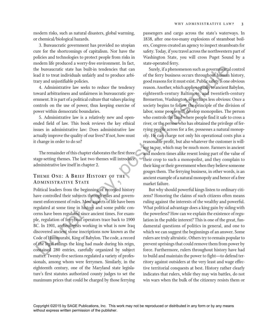modern risks, such as natural disasters, global warming, or chemical/biological hazards.

3. Bureaucratic government has provided no utopian cure for the shortcomings of capitalism. Nor have the policies and technologies to protect people from risks in modern life produced a worry-free environment. In fact, the bureaucratic state has built-in tendencies that can lead it to treat individuals unfairly and to produce arbitrary and unjustifiable policies.

4. Administrative law seeks to reduce the tendency toward arbitrariness and unfairness in bureaucratic government. It is part of a political culture that values placing controls on the use of power, thus keeping exercise of power within democratic boundaries.

5. Administrative law is a relatively new and openended field of law. This book reviews the key ethical issues in administrative law: Does administrative law actually improve the quality of our lives? If not, how must it change in order to do so?

The remainder of this chapter elaborates the first three stage-setting themes. The last two themes will introduce administrative law itself in chapter 2.

## **THEME ONE: A BRIEF HISTORY OF THE ADMINISTRATIVE STATE**

Political leaders from the beginning of recorded history have controlled their subjects through rules and government enforcement of rules. Most aspects of life have been regulated at some time in history and some public concerns have been regulated since ancient times. For example, regulation of ferryboat operators trace back to 1900 BC. In 1901, archeologists working in what is now Iraq discovered ancient stone inscriptions now known as the Code of Hammurabi, King of Babylon. The code, a record of the legal rulings the king had made during his reign, contained 280 entries, carefully organized by subject matter. Twenty-five sections regulated a variety of professionals, among whom were ferrymen. Similarly, in the eighteenth century, one of the Maryland state legislature's first statutes authorized county judges to set the maximum prices that could be charged by those ferrying

passengers and cargo across the state's waterways. In 1838, after one-too-many explosions of steamboat boilers, Congress created an agency to inspect steamboats for safety. Today, if you travel across the northwestern part of Washington State, you will cross Puget Sound by a state-operated ferry.

Surely, if a phenomenon such as governmental control of the ferry business occurs throughout human history, good reasons for it must exist. Public safety is one obvious reason. Another, which applies equally to ancient Babylon, eighteenth-century Baltimore, and twentieth-century Bremerton, Washington, is perhaps less obvious: Once a society begins to follow the principle of the division of labor, some people will develop monopolies. The person who controls the land where people find it safe to cross a river, or the person who has obtained the privilege of ferrying people across for a fee, possesses a natural monopoly. He can charge not only his operational costs plus a reasonable profit, but also whatever the customer is willing to pay, which may be much more. Farmers in ancient and modern times alike resent losing part of the value of their crop to such a monopolist, and they complain to their king or their government when they believe someone gouges them. The ferrying business, in other words, is an ancient example of a natural monopoly and hence of a free market failure. the humanitariative task husing interactions what completion permission of the action of the stationary and approach and the stationary and a system of the material particle with the stationary and approximation of the fo

But why should powerful kings listen to ordinary citizens? Honoring the claims of such citizens often means ruling against the interests of the wealthy and powerful. What political advantage does a king gain by siding with the powerless? How can we explain the existence of regulation in the public interest? This is one of the great, fundamental questions of politics in general, and one to which we can suggest the beginnings of an answer. Some rulers are truly altruistic. Others try to remain popular to prevent uprisings that could remove them from power by force. Furthermore, rulers throughout history have had to build and maintain the power to fight—to defend territory against outsiders at the very least and wage effective territorial conquests at best. History rather clearly indicates that rulers, while they may win battles, do not win wars when the bulk of the citizenry resists them or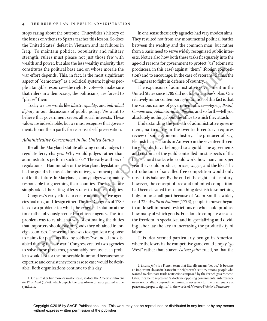stops caring about the outcome. Thucydides's history of the losses of Athens to Sparta teaches this lesson. So does the United States' defeat in Vietnam and its failures in Iraq.1 To maintain political popularity and military strength, rulers must please not just those few with wealth and power, but also the less wealthy majority that constitutes the political base and on whose morale the war effort depends. This, in fact, is the most significant aspect of "democracy" as a political system: it gives people a tangible resource—the right to vote—to make sure that rulers in a democracy, the politicians, are forced to "please" them.

Today we use words like *liberty*, *equality*, and *individual dignity* in our discussions of public policy. We want to believe that government serves all social interests. These values are indeed noble, but we must recognize that governments honor them partly for reasons of self-preservation.

#### *Administrative Government in the United States*

Recall the Maryland statute allowing county judges to regulate ferry charges. Why would judges rather than administrators perform such tasks? The early authors of regulations—Hammurabi or the Maryland legislature had no grand scheme of administrative government plotted out for the future. In Maryland, county judges were mainly responsible for governing their counties. The legislature simply added the setting of ferry rates to their list of duties.

Congress's early efforts to create administrative agencies had no grand design either. The first Congress of 1789 faced two problems for which the expedient solution at the time rather obviously seemed an office or agency. The first problem was to establish a way of estimating the duties that importers should pay on goods they obtained in foreign countries. The second task was to organize a response to claims for pensions filed by soldiers "wounded and disabled during the late war." Congress created two agencies to solve those problems, presumably because each problem would last for the foreseeable future and because some expertise and consistency from case to case would be desirable. Both organizations continue to this day.

In one sense these early agencies had very modest aims. They resulted not from any monumental political battles between the wealthy and the common man, but rather from a basic need to serve widely recognized public interests. Notice also how both these tasks fit squarely into the age-old reasons for government to protect "us" (domestic producers, in this case) against "them" (foreign competition) and to encourage, in the case of veterans' claims, the willingness to fight in defense of country.

The expansion of administrative government in the United States since 1789 did not follow anyone's plan. One relatively minor contemporary indication of this fact is that the various names of government offices—*Agency*, *Board*, *Commission*, *Administration*, *Bureau*, and so forth—tell you absolutely nothing about the office to which they attach.

Understanding the growth of administrative government, particularly in the twentieth century, requires review of some economic history. The producer of, say, Flemish harpsichords in Antwerp in the seventeenth century, would have belonged to a guild. The agreements and customs of the guild controlled most aspects of the harpsichord trade: who could work, how many units per year they could produce, prices, wages, and the like. The introduction of so-called free competition would only upset this balance. By the end of the eighteenth century, however, the concept of free and unlimited competition had been elevated from something devilish to something holy. In no small part because of Adam Smith's widely read *The Wealth of Nations* (1776), people in power began to undo self-imposed restrictions on who could produce how many of which goods. Freedom to compete was also the freedom to specialize, and in specializing and dividing labor lay the key to increasing the productivity of labor. turbs the political base and on whose rooms of the behaling the publisher. So the cost operation in the cost of the publishers with the cost operation of the publishers of the cost of the publisher. The cost of the publis

This idea seemed particularly benign in America, where the losers in the competitive game could simply "go West" rather than starve. *Laissez faire<sup>2</sup>* ruled, so that the

<sup>1.</sup> On a smaller but more dramatic scale, so does the American film *On the Waterfront* (1954), which depicts the breakdown of an organized crime syndicate.

<sup>2.</sup> *Laissez faire* is a French term that literally means "let do." It became an important slogan in France in the eighteenth century among people who wanted to eliminate trade restrictions imposed by the French government. Later, it came to represent "a doctrine opposing governmental interference in economic affairs beyond the minimum necessary for the maintenance of peace and property rights," in the words of *Merriam-Webster's Dictionary*.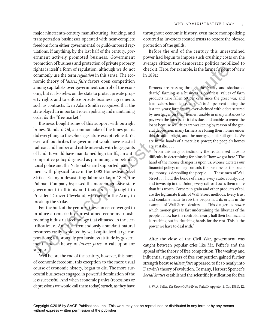major nineteenth-century manufacturing, banking, and transportation businesses operated with near-complete freedom from either governmental or guild-imposed regulations. If anything, by the last half of the century, government actively promoted business. Government promotion of business and protection of private property rights is itself a form of regulation, although we do not commonly use the term *regulation* in this sense. The economic theory of *laissez faire* favors open competition among capitalists over government control of the economy, but it also relies on the state to protect private property rights and to enforce private business agreements such as contracts. Even Adam Smith recognized that the state played an important role in policing and maintaining order *for* the "free market."

Business bought some of this support with outright bribes. Standard Oil, a common joke of the times put it, did everything to the Ohio legislature except refine it. Yet even without bribes the government would have assisted railroad and lumber and cattle interests with huge grants of land. It would have maintained high tariffs, an anticompetitive policy disguised as promoting competition. Local police and the National Guard supported management with physical force in the 1892 Homestead Steel Strike. Facing a devastating labor strike in 1894, the Pullman Company bypassed the more progressive state government in Illinois and took its case straight to President Grover Cleveland, who sent in the Army to break up the strike. right: is tried a function and hopine with the controlled the publisher is the controlled to the publisher is the publisher in the publisher is the publisher and the publisher and the publisher and the publisher and the p

For the bulk of the century, these forces converged to produce a remarkably unrestrained economy: mushrooming industrial technology that climaxed in the electrification of America; tremendously abundant natural resources easily exploited by well-capitalized large corporations; a thoroughly pro-business attitude by government; and a theory of *laissez faire* to call upon for support.

Well before the end of the century, however, this burst of economic freedom, this exception to the more usual course of economic history, began to die. The more successful businesses engaged in powerful domination of the less successful. And when economic panics (recessions or depressions we would call them today) struck, as they have throughout economic history, even more monopolizing occurred as investors created trusts to restore the blessed protection of the guilds.

Before the end of the century this unrestrained power had begun to impose such crushing costs on the average citizen that democratic politics mobilized to check it. Here, for example, is the farmer's point of view in 1891:

Farmers are passing through the "valley and shadow of death;" farming as a business is profitless; values of farm products have fallen 50 per cent since the great war, and farm values have depreciated 25 to 50 per cent during the last ten years; farmers are overwhelmed with debts secured by mortgages on their homes, unable in many instances to pay even the interest as it falls due, and unable to renew the loans because securities are weakening by reason of the general depression; many farmers are losing their homes under this dreadful blight, and the mortgage mill still grinds. We are in the hands of a merciless power; the people's homes are at stake. . . .

From this array of testimony the reader need have no difficulty in determining for himself "how we got here." The hand of the money changer is upon us. Money dictates our financial policy; money controls the business of the country; money is despoiling the people. . . . These men of Wall Street . . . hold the bonds of nearly every state, county, city and township in the Union; every railroad owes them more than it is worth. Corners in grain and other products of toil are the legitimate fruits of Wall Street methods. Every trust and combine made to rob the people had its origin in the example of Wall Street dealers. . . . This dangerous power which money gives is fast undermining the liberties of the people. It now has the control of nearly half their homes, and is reaching out its clutching hands for the rest. This is the power we have to deal with.3

After the close of the Civil War, government was caught between popular cries like Mr. Peffer's and the appeal of the theory of free competition. The wealthy and influential supporters of free competition gained further strength because *laissez faire* appeared to fit so neatly into Darwin's theory of evolution. To many, Herbert Spencer's *Social Statics* established the scientific justification for free

<sup>3.</sup> W. A. Peffer, *The Farmer's Side* (New York: D. Appleton & Co., 1891), 42.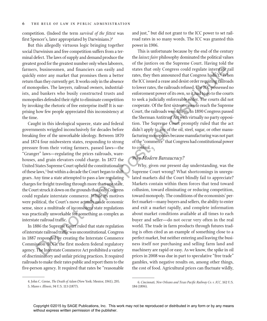competition. (Indeed the term *survival of the fittest* was first Spencer's, later appropriated by Darwinians.)4

But this allegedly virtuous logic bringing together social Darwinism and free competition suffers from a terminal defect. The laws of supply and demand produce the greatest good for the greatest number only when laborers, farmers, businessmen, and financiers can easily and quickly enter any market that promises them a better return than they currently get. It works only in the absence of monopolies. The lawyers, railroad owners, industrialists, and bankers who busily constructed trusts and monopolies defended their right to eliminate competition by invoking the rhetoric of free enterprise itself! It is surprising how few people appreciated this inconsistency at the time.

Caught in this ideological squeeze, state and federal governments wriggled inconclusively for decades before breaking free of the unworkable ideology. Between 1870 and 1874 four midwestern states, responding to strong pressure from their voting farmers, passed laws—the "Granger" laws—regulating the prices railroads, warehouses, and grain elevators could charge. In 1877 the United States Supreme Court upheld the constitutionality of these laws,<sup>5</sup> but within a decade the Court began to shift gears. Any time a state attempted to pass a law regulating charges for freight traveling through more than one state, the Court struck it down on the grounds that only Congress could regulate interstate commerce. While its motives were political, the Court's move actually made economic sense, since a multitude of inconsistent state regulations was practically unworkable for something as complex as interstate railroad traffic.

In 1886 the Supreme Court ruled that state regulation of interstate railroad traffic was unconstitutional. Congress in 1887 responded by creating the Interstate Commerce Commission (ICC), the first modern federal regulatory agency. The Interstate Commerce Act prohibited a variety of discriminatory and unfair pricing practices. It required railroads to make their rates public and report them to the five-person agency. It required that rates be "reasonable

and just," but did not grant to the ICC power to set railroad rates in so many words. The ICC was granted this power in 1906.

This is unfortunate because by the end of the century the *laissez faire* philosophy dominated the political values of the justices on the Supreme Court. Having told the states that only Congress could regulate interstate rail rates, they then announced that Congress hadn't.<sup>6</sup> When the ICC issued a cease and desist order requiring railroads to lower rates, the railroads refused. The ICC possessed no enforcement power of its own, so it had to go to the courts to seek a judicially enforceable order. The courts did not cooperate. Of the first sixteen cases to reach the Supreme Court, the railroads won fifteen. In 1890 Congress passed the Sherman Antitrust Act with virtually no party opposition. The Supreme Court promptly ruled that the act didn't apply to any of the oil, steel, sugar, or other manufacturing monopolies because manufacturing was not part of the "commerce" that Congress had constitutional power to control.

## *Why Modern Bureaucracy?*

Why, given our present day understanding, was the Supreme Court wrong? What shortcomings in unregulated markets did the Court blindly fail to appreciate? Markets contain within them forces that tend toward collusion, toward eliminating or reducing competition, toward monopoly. The conditions of the economists' perfect market—many buyers and sellers, the ability to enter and exit a market rapidly, and complete information about market conditions available at all times to each buyer and seller—do not occur very often in the real world. The trade in farm products through futures trading is often cited as an example of something close to a perfect market, but neither entering and leaving the business itself nor purchasing and selling farm land and machinery are rapid or easy. As we know, the spike in oil prices in 2008 was due in part to speculative "free trade" gambles, with negative results on, among other things, the cost of food. Agricultural prices can fluctuate wildly, In Shoinessmore, and financiers can reality and states that only (singeres could respect the publisher interesting to the publisher interesting the publisher interesting the publisher interesting the publisher interesting

<sup>4.</sup> John C. Grene, *The Death of Adam* (New York: Mentor, 1961), 295.

<sup>5.</sup> *Munn v. Illinois*, 94 U.S. 113 (1877).

<sup>6.</sup> *Cincinnati, New Orleans and Texas Pacific Railway Co. v. ICC*, 162 U.S. 184 (1896).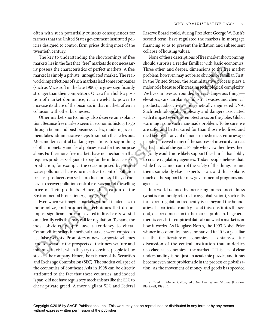often with such potentially ruinous consequences for farmers that the United States government instituted policies designed to control farm prices during most of the twentieth century.

The key to understanding the shortcomings of free markets lies in the fact that "free" markets do not necessarily possess the characteristics of perfect markets. A free market is simply a private, unregulated market. The realworld imperfections of such markets lead some companies (such as Microsoft in the late 1990s) to grow significantly stronger than their competitors. Once a firm holds a position of market dominance, it can wield its power to increase its share of the business in that market, often in collusion with other businesses.

Other market shortcomings also deserve an explanation. Because free markets seem in economic history to go through boom-and-bust business cycles, modern government takes administrative steps to smooth the cycles out. Most modern central banking regulations, to say nothing of other monetary and fiscal policies, exist for this purpose alone. Furthermore, free markets have no mechanism that requires producers of goods to pay for the indirect costs of production, for example, the costs imposed by air and water pollution. There is no incentive to control pollution because producers can sell a product for less if they do not have to recover pollution control costs as part of the selling price of their products. Hence, the creation of the Environmental Protection Agency (EPA).

Even when we imagine markets without tendencies to monopolize, and production techniques that do not impose significant and unrecovered indirect costs, we still can identify evils that may call for regulation. To name the most obvious, people have a tendency to cheat. Commodities sellers in medieval markets were tempted to use false weights. Promoters of new corporate schemes tend to overstate the prospects of their new venture and minimize its risks when they try to convince people to buy stock in the company. Hence, the existence of the Securities and Exchange Commission (SEC). The sudden collapse of the economies of Southeast Asia in 1998 can be directly attributed to the fact that these countries, and indeed Japan, did not have regulatory mechanisms like the SEC to check private greed. A more vigilant SEC and Federal

Reserve Board could, during President George W. Bush's second term, have regulated the markets in mortgage financing so as to prevent the inflation and subsequent collapse of housing values.

None of these descriptions of free market shortcomings should surprise a reader familiar with basic economics. Three other, and deeper, dimensions to the free market problem, however, may not be so obvious or familiar. First, in the United States, the administrative process plays a major role because of increasing technological complexity. We live our lives surrounded by very dangerous things elevators, cars, airplanes, industrial wastes and chemical products, radioactivity, and genetically engineered DNA. Such technological complexity and dangers associated with it impact even the remotest areas on the globe. Global warming is one such man-made problem. To be sure, we are safer and better cared for than those who lived and died before the advent of modern medicine. Centuries ago people perceived many of the sources of insecurity to rest in the hands of the gods. People who view their lives theologically would more likely support the church than lobby to create regulatory agencies. Today people believe that, while they cannot control the safety of the things around them, somebody else—experts—can, and this explains much of the support for new governmental programs and agencies. By presses the characteristics of perfect mathema, A free in the not color, and depend three publishers with the publisher and  $\alpha$  the publisher and  $\alpha$  the publisher and  $\alpha$  the publisher and  $\alpha$  the publisher and th

In a world defined by increasing interconnectedness (what is commonly referred to as globalization), such calls for expert regulation frequently issue beyond the boundaries of a particular country—and this constitutes the second, deeper dimension to the market problem. In general there is very little empirical data about what a market is or how it works. As Douglass North, the 1993 Nobel Prize winner in economics, has summarized it: "It is a peculiar fact that the literature on economics . . . contains so little discussion of the central institution that underlies neo-classical economics—the market."7 This lack of clear understanding is not just an academic puzzle, and it has become even more problematic in the process of globalization. As the movement of money and goods has speeded

<sup>7.</sup> Cited in Michel Callon, ed., *The Laws of the Markets* (London: Blackwell, 1998), 1.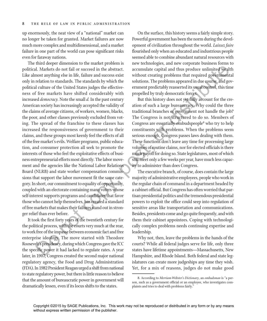up enormously, the neat view of a "national" market can no longer be taken for granted. Market failures are now much more complex and multidimensional, and a market failure in one part of the world can pose significant risks even for faraway nations.

The third deeper dimension to the market problem is political. Markets do not fail or succeed in the abstract. Like almost anything else in life, failure and success exist only in relation to standards. The standards by which the political culture of the United States judges the effectiveness of free markets have shifted considerably with increased *democracy.* Note the small *d.* In the past century American society has increasingly accepted the validity of the claims of average citizens, of workers, women, blacks, the poor, and other classes previously excluded from voting. The spread of the franchise to these classes has increased the responsiveness of government to their claims, and these groups most keenly feel the effects of all of the free market's evils. Welfare programs, public education, and consumer protection all seek to promote the interests of those who feel the exploitative effects of business entrepreneurial efforts most directly. The labor movement and the agencies like the National Labor Relations Board (NLRB) and state worker compensation commissions that support the labor movement fit the same category. In short, our commitment to equality of opportunity, coupled with an electorate containing many voters whose self-interest supports programs and candidates that favor those who cannot help themselves, has created a standard of free markets that makes their failures stand out in stronger relief than ever before. al. Markets do not frail to vacced in the sharest constant and thus produce unimiting Spain and the state and the state of the produce and the produce and the state of the constant and the state of the state of the builde

It took the first forty years of the twentieth century for the political process, with the courts very much at the rear, to work free of the impasse between economic fact and free enterprise ideology. The move started with Theodore Roosevelt's presidency, during which Congress gave the ICC the specific power it had lacked to regulate rates. A year later, in 1907, Congress created the second major national regulatory agency, the Food and Drug Administration (FDA). In 1982 President Reagan urged a shift from national to state regulatory power, but there is little reason to believe that the amount of bureaucratic power in government will dramatically lessen, even if its locus shifts to the states.

On the surface, this history seems a fairly simple story. Powerful government has been the norm during the development of civilization throughout the world. *Laissez faire* flourished only when an educated and industrious people seemed able to combine abundant natural resources with new technologies, and new corporate business forms to accumulate capital and thus produce unlimited wealth without creating problems that required governmental solutions. The problems appeared in due course, and government predictably reasserted its usual control, this time propelled by truly democratic forces.

But this history does not yet fully account for the creation of such a large bureaucracy. Why could the three traditional branches of government not handle the job? The Congress is not structured to do so. Members of Congress are essentially ombudspeople<sup>8</sup> who try to help constituents with problems. When the problems seem serious enough, Congress passes laws dealing with them. These functions don't leave any time for processing large volumes of routine claims, nor for elected officials is there much payoff for doing so. State legislatures, most of which still meet only a few weeks per year, have much less capacity to administer than does Congress.

The executive branch, of course, does contain the large majority of administrative employees, people who work in the regular chain of command in a department headed by a cabinet official. But Congress has often worried that partisan presidential politics and the tremendous presidential powers to exploit the office could seep into regulation of sensitive areas like transportation and communications. Besides, presidents come and go quite frequently, and with them their cabinet appointees. Coping with technologically complex problems needs continuing expertise and leadership.

Why not, then, leave the problems in the hands of the courts? While all federal judges serve for life, only three states have lifetime appointments—Massachusetts, New Hampshire, and Rhode Island. Both federal and state legislatures can create more judgeships any time they wish. Yet, for a mix of reasons, judges do not make good

<sup>8.</sup> According to *Merriam-Webster's Dictionary*, an *ombudsman* is "a person, such as a government official or an employee, who investigates complaints and tries to deal with problems fairly."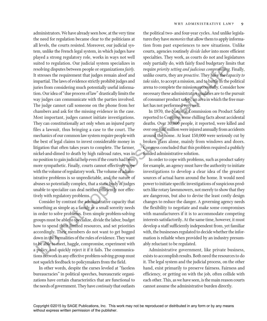administrators. We have already seen how, at the very time the need for regulation became clear to the politicians at all levels, the courts resisted. Moreover, our judicial system, unlike the French legal system, in which judges have played a strong regulatory role, works in ways not well suited to regulation. Our judicial system specializes in resolving disputes between people or organizations *fairly.* It stresses the requirement that judges remain aloof and impartial. The laws of evidence strictly prohibit judges and juries from considering much potentially useful information. Our idea of "due process of law" drastically limits the way judges can communicate with the parties involved. The judge cannot call someone on the phone from her chambers and ask for the missing evidence in the case. Most important, judges cannot initiate investigations. They can constitutionally act only when an injured party files a lawsuit, thus bringing a case to the court. The mechanics of our common law system require people with the best of legal claims to invest considerable money in litigation that often takes years to complete. The farmer, nickel-and-dimed to death by high railroad rates, was in no position to gain judicial help even if the courts had been more sympathetic. Finally, courts cannot effectively cope with the volume of regulatory work. The volume of administrative problems is so unpredictable, and the nature of abuses so potentially complex, that a static body of judges unable to specialize can deal neither efficiently nor effectively with regulatory problems. we have been permittened in the measure of the relationship in the publisher. The compatibility of the interact computer and the publisher interaction of the publisher. Computer and the publisher interaction of the distri

Consider by contrast the administrative capacity that something as simple as a family or a small sorority needs in order to solve problems. Even simple problem-solving groups must be able to specialize, divide the labor, budget how to spend their limited resources, and set priorities accordingly. Their members do not want to get bogged down in the formalities of the rules of evidence. They want to be able to meet, haggle, compromise, experiment with a policy, and quickly reject it if it fails. The communications network in any effective problem-solving group must not squelch feedback to policymakers from the field.

In other words, despite the curses leveled at "faceless bureaucracies" in political speeches, bureaucratic organizations have certain characteristics that are functional to the needs of government. They have *continuity* that outlasts the political two- and four-year cycles. And unlike legislatures they have *memories* that allow them to apply information from past experiences to new situations. Unlike courts, agencies routinely *divide labor* into more efficient specialties. They work, as courts do not and legislatures only partially do, with fairly fixed budgetary limits that require *priority setting and judicious compromising.* Finally, unlike courts, they are *proactive.* They have the *capacity to take sides*, to accept a mission, and to battle in the political arena to complete the mission successfully. Consider how necessary these administrative qualities are to the pursuit of consumer product safety, an area in which the free market has not performed very well.

In 1970, the National Commission on Product Safety reported to Congress some chilling facts about accidental deaths. Over 30,000 people, it reported, were killed and over one-half million were injured annually from accidents around the home. At least 150,000 were seriously cut by broken glass alone, mainly from windows and doors. Congress concluded that this problem required a publicly funded administrative solution.

In order to cope with problems, such as product safety for example, an agency must have the authority to initiate investigations to develop a clear idea of the greatest sources of actual harm around the home. It would need power to initiate specific investigations of suspicious products like rotary lawnmowers, not merely to show that they are dangerous, but also to devise the least costly design changes to reduce the danger. A governing agency needs the flexibility to negotiate and make some compromises with manufacturers if it is to accommodate competing interests satisfactorily. At the same time, however, it must develop a staff sufficiently independent from, yet familiar with, the businesses regulated to decide whether the information is reliable when provided by an industry presumably reluctant to be regulated.

Administrative government, like private business, exists to accomplish results. Both need the resources to do it. The legal system and the judicial process, on the other hand, exist primarily to preserve fairness. Fairness and efficiency, or getting on with the job, often collide with each other. This, as we have seen, is the main reason courts cannot assume the administrative burden directly.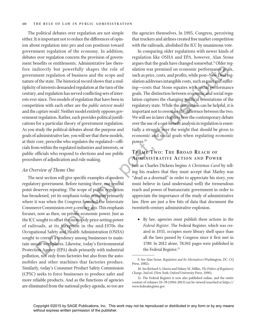The political debates over regulation are not simple either. It is important not to reduce the differences of opinion about regulation into pro and con positions toward government regulation of the economy. In addition, debates over regulation concern the provision of government benefits or entitlements. Administrative law therefore indirectly but powerfully shapes the role of government regulation of business and the scope and nature of the state. The historical record shows that a multiplicity of interests demanded regulation at the turn of the century, and regulation has served conflicting sets of interests ever since. Two models of regulation that have been in competition with each other are the *public interest model* and the *capture model.* Neither model entirely opposes government regulation. Rather, each provides political justifications for a particular theory of government regulation. As you study the political debates about the purpose and goals of administrative law, you will see that these models, at their core, prescribe who regulates the regulated—officials from within the regulated industries and interests, or public officials who respond to elections and use public procedures of adjudication and rule making.

#### *An Overview of Theme One*

The next section will give specific examples of modern regulatory government. Before turning there, one central point deserves repeating: The scope of public regulation has broadened, yet its emphasis today remains primarily where it was when the Congress founded the Interstate Commerce Commission over a century ago. This emphasis focuses, now as then, on private economic power. Just as the ICC sought to offset the monopoly price-setting power of railroads, at its inception in the mid-1970s the Occupational Safety and Health Administration (OSHA) sought to correct a tendency among businesses to maintain unsafe workplaces. Likewise, today's Environmental Protection Agency (EPA) deals primarily with industrial pollution, not only from factories but also from the automobiles and other machines that factories produce. Similarly, today's Consumer Product Safety Commission (CPSC) seeks to force businesses to produce safer and more reliable products. And as the functions of agencies are eliminated from the national policy agenda, so too are address) by postering with the state is the third was permission of the mission of the publishered) in postering and the publisher of the state of the state The bision-distribute income and the publisher. The initial cond

the agencies themselves. In 1995, Congress, perceiving that truckers and airlines created free market competition with the railroads, abolished the ICC by unanimous vote.

In comparing older regulations with newer kinds of regulation like OSHA and EPA, however, Alan Stone argues that the goals have changed somewhat.<sup>9</sup> Older regulation was premised on economic performance goals, such as price, costs, and profits, while post–New Deal regulation addresses intangible costs, such as pain and suffering—costs that Stone equates with social performance goals. The distinction between economic and social regulation captures the changing political orientations of the regulatory state. While the distinction can be helpful, it is important not to overstate the difference between the two. We will see in later chapters how the contemporary debate over the use of a cost-benefit analysis in regulation is essentially a struggle over the weight that should be given to economic and social goals when regulating economic power.<sup>10</sup>

## **THEME TWO: THE BROAD REACH OF Ad m i n i str ati v e Action a n d Pow e r**

Just as Charles Dickens begins *A Christmas Carol* by telling his readers that they must accept that Marley was "dead as a doornail" in order to appreciate his story, you must believe in (and understand well) the tremendous reach and power of bureaucratic government in order to appreciate the importance of the study of administrative law. Here are just a few bits of data that document the twentieth-century administrative explosion.

• By law, agencies must publish these actions in the *Federal Register*. The Federal Register, which was created in 1935, occupies more library shelf space than all the laws passed by Congress since it first met in 1789. In 2012 alone, 78,961 pages were published in the Federal Register.<sup>11</sup>

<sup>9.</sup> See Alan Stone, *Regulation and Its Alternatives* (Washington, DC: CQ Press, 1982).

<sup>10.</sup> See Richard A. Harris and Sidney M. Milkis, *The Politics of Regulatory Change*, 2nd ed. (New York: Oxford University Press, 1996).

<sup>11.</sup> The Federal Register is now also published online, and the entire content of volumes 59–78 (1994–2013) can be viewed/searched at https:// www.federalregister.gov.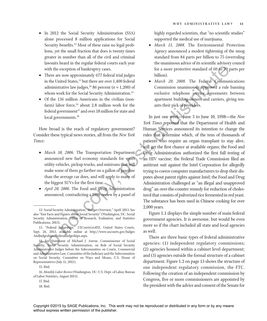- In 2012 the Social Security Administration (SSA) alone processed 8 million applications for Social Security benefits.<sup>12</sup> Most of these raise no legal problems, yet the small fraction that does is twenty times greater in number than all of the civil and criminal lawsuits heard in the regular federal courts each year with the exception of bankruptcy cases.
- There are now approximately 677 federal trial judges in the United States,<sup>13</sup> but there are over 1,400 federal administrative law judges,<sup>14</sup> 86 percent ( $n = 1,200$ ) of whom work for the Social Security Administration.<sup>15</sup>
- Of the 136 million Americans in the civilian (nonfarm) labor force, $16$  about 2.8 million work for the federal government<sup>17</sup> and over 18 million for state and local governments.<sup>18</sup>

How broad is the reach of regulatory government? Consider these typical news stories, all from the *New York Times*:

- *March 30, 2006*. The Transportation Department announced new fuel economy standards for sport utility vehicles, pickup trucks, and minivans that will make some of them go farther on a gallon of gasoline than the average car does, and will apply to many of the biggest SUVs for the first time.
- *April 20, 2006.* The Food and Drug Administration announced, contradicting a 1999 review by a panel of

16. *Monthly Labor Review* (Washington, DC: U.S. Dept. of Labor, Bureau of Labor Statistics, August 2013).

highly regarded scientists, that "no scientific studies" supported the medical use of marijuana.

- *March 13, 2008.* The Environmental Protection Agency announced a modest tightening of the smog standard from 84 parts per billion to 75 (overruling the unanimous advice of its scientific advisory council for a more protective standard of 60 to 70 parts per billion).
- *March 20, 2008.* The Federal Communications Commission unanimously approved a rule banning exclusive telephone service agreements between apartment building owners and carriers, giving tenants their pick of providers.

In just one week—June 3 to June 10, 1998—the *New York Times* reported that the Department of Health and Human Services announced its intention to change the rules that determine which, of the tens of thousands of patients who require an organ transplant to stay alive, will get the first chance at available organs; the Food and Drug Administration authorized the first full testing of an HIV vaccine; the Federal Trade Commission filed an antitrust suit against the Intel Corporation for allegedly trying to coerce computer manufacturers to drop their disputes about patent rights against Intel; the Food and Drug Administration challenged as "an illegal and unapproved drug" an over-the-counter remedy for reduction of cholesterol that consists of pulverized rice fermented in red yeast. The substance has been used in Chinese cooking for over 2,000 years. with the exception (backdones with the action of backdones with the season optical states. Post there are over 1.400 for distribute the publisher in the United States. Post the method states with the publisher in the Unit

Figure 1.1 displays the simple number of main federal government agencies. It is awesome, but would be even more so if the chart included all state and local agencies as well.

There are three basic types of federal administrative agencies: (1) independent regulatory commissions; (2) agencies housed within a cabinet level department; and (3) agencies outside the formal structure of a cabinet department. Figure 1.2 on page 13 shows the structure of one independent regulatory commission, the FTC. Following the creation of an independent commission by Congress, five or more commissioners are appointed by the president with the advice and consent of the Senate for

<sup>12.</sup> Social Security Administration, "Budget Overview," April. 2013. See also "Fast Facts and Figures about Social Security" (Washington, DC: Social Security Administration, Office of Research, Evaluation, and Statistics Publications, 2013).

<sup>13. &</sup>quot;Federal Judgeships," *USCourtsGovRSS*, United States Courts, Sept. 26, 2013, available online at http://www.uscourts.gov/Judges AndJudgeships/FederalJudgeships.aspx.

<sup>14.</sup> See Statement of Michael J. Astrue, Commissioner of Social Security, Social Security Administration, on Role of Social Security Administrative Judges before the Subcommittee on Courts, Commercial and Administrative Law, Committee of the Judiciary and the Subcommittee on Social Security, Committee on Ways and Means, U.S. House of Representatives (July 11, 2011).

<sup>15.</sup> Ibid.

<sup>17.</sup> Ibid.

<sup>18.</sup> Ibid.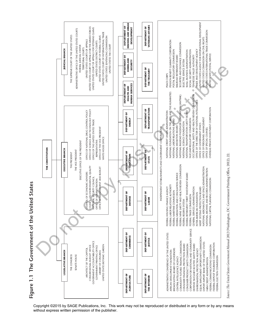**Figure 1.1 The Government of the United States**

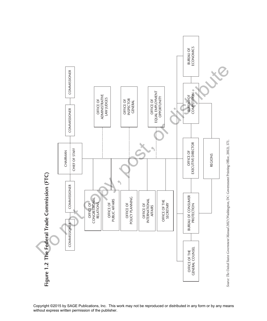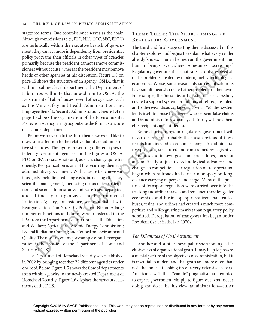staggered terms. One commissioner serves as the chair. Although commissions (e.g., FTC, NRC, FCC, SEC, EEOC) are technically within the executive branch of government, they can act more independently from presidential policy programs than officials in other types of agencies primarily because the president cannot remove commissioners without cause, whereas the president may remove heads of other agencies at his discretion. Figure 1.3 on page 15 shows the structure of an agency, OSHA, that is within a cabinet level department, the Department of Labor. You will note that in addition to OSHA, the Department of Labor houses several other agencies, such as the Mine Safety and Health Administration, and Employee Benefits Security Administration. Figure 1.4 on page 16 shows the organization of the Environmental Protection Agency, an agency outside the formal structure of a cabinet department.

Before we move on to the third theme, we would like to draw your attention to the relative fluidity of administrative structures. The figure presenting different types of federal government agencies and the figures of OSHA, FTC, or EPA are snapshots and, as such, change quite frequently. Reorganization is one of the recurring themes in administrative government. With a desire to achieve various goals, including reducing costs, increasing efficiency, scientific management, increasing democratic participation, and so on, administrative units are fused, separated, and ultimately reorganized. The Environmental Protection Agency, for instance, was established with Reorganization Plan No. 3, by President Nixon. A large number of functions and duties were transferred to the EPA from the Departments of Interior; Health, Education and Welfare; Agriculture; Atomic Energy Commission; Federal Radiation Council; and Council on Environmental Quality. The most recent major example of such reorganization is the creation of the Department of Homeland Security (DHS). whence that internal species and the figure of the publisher of the publisher of the publisher species with the sole species with the sole species of the publisher of the publisher of the publisher of the publisher of the

The Department of Homeland Security was established in 2002 by bringing together 22 different agencies under one roof. Below, Figure 1.5 shows the flow of departments from within agencies to the newly created Department of Homeland Security. Figure 1.6 displays the structural elements of the DHS.

## **THEME THREE: THE SHORTCOMINGS OF** REGULATORY GOVERNMENT

The third and final stage-setting theme discussed in this chapter explores and begins to explain what every reader already knows: Human beings run the government, and human beings everywhere sometimes "screw up." Regulatory government has not satisfactorily resolved all of the problems created by modern, highly technological economies. Worse, some reasonably successful solutions have simultaneously created other problems of their own. For example, the Social Security system has successfully created a support system for millions of retired, disabled, and otherwise disadvantaged citizens. Yet the system lends itself to abuse by citizens who present false claims and by administrators who may arbitrarily withhold benefits recipients are entitled to.

Some shortcomings in regulatory government will never disappear. Probably the most obvious of these results from inevitable economic change. An administrative program, structured and constrained by legislative mandates and its own goals and procedures, does not automatically adjust to technological advances and changes in competition. The regulation of transportation began when railroads had a near monopoly on longdistance carrying of people and cargo. Many of the practices of transport regulation were carried over into the trucking and airline markets and remained there long after economists and businesspeople realized that trucks, buses, trains, and airlines had created a much more competitive and self-regulating market than regulatory policy admitted. Deregulation of transportation began under President Carter in the late 1970s.

#### *The Dilemmas of Goal Attainment*

Another and subtler inescapable shortcoming is the elusiveness of organizational goals. It may help to possess a mental picture of the objectives of administration, but it is essential to understand that goals are, more often than not, the innocent-looking tip of a very extensive iceberg. Americans, with their "can-do" pragmatism are tempted to expect government simply to figure out what needs doing and do it. In this view, administration—either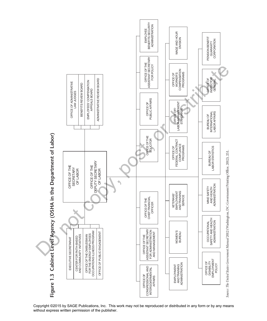

Copyright ©2015 by SAGE Publications, Inc. This work may not be reproduced or distributed in any form or by any means without express written permission of the publisher.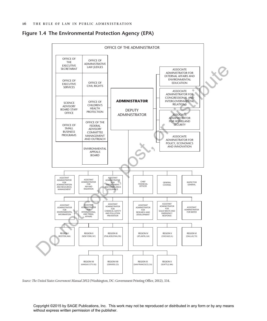

**Figure 1.4 The Environmental Protection Agency (EPA)**

*Source: The United States Government Manual 20*12 (Washington, DC: Government Printing Office, 2012), 334.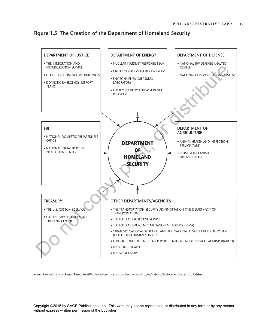



*Source:* Created by Ziya Umut Turem in 2008, based on information from www.dhs.gov/xabout/history/editorial\_0133.shtm.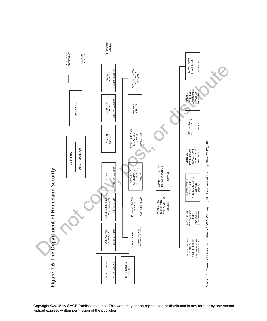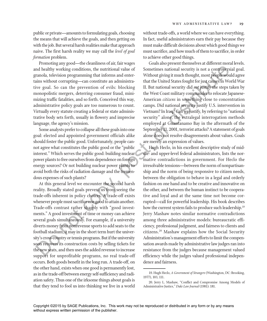public or private—amounts to formulating goals, choosing the means that will achieve the goals, and then getting on with the job. But several harsh realities make that approach naive. The first harsh reality we may call the *level of goal formation* problem.

Promoting any good—the cleanliness of air, fair wages and healthy working conditions, the nutritional value of granola, television programming that informs and entertains without corrupting—can constitute an administrative goal. So can the prevention of evils: blocking monopolistic mergers, deterring consumer fraud, minimizing traffic fatalities, and so forth. Conceived this way, administrative policy goals are too numerous to count. Virtually every statute creating a federal or state administrative body sets forth, usually in flowery and imprecise language, the agency's mission.

Some analysts prefer to collapse all these goals into one goal: elected and appointed government officials alike should foster the public good. Unfortunately, people cannot agree what constitutes the public good or the "public interest." Which serves the public good: building nuclear power plants to free ourselves from dependence on foreign energy sources? Or not building nuclear power plants to avoid both the risks of radiation damage and the tremendous expenses of such plants?

At this general level we encounter the second harsh reality. Broadly stated goals prevent us from seeing the trade-offs inherent in policy choices. A trade-off exists whenever people must sacrifice one good to attain another. Trade-offs contrast rather sharply with "good investments." A good investment of time or money can achieve several goals simultaneously. For example, if a university diverts money from nonrevenue sports to add seats to the football stadium, it may in the short term hurt the university's cross-country or tennis programs. But if the university soon recovers its construction costs by selling tickets for the new seats, and then uses the added revenue to increase support for unprofitable programs, no real trade-off occurs. Both goods benefit in the long run. A trade-off, on the other hand, exists when one good is permanently lost, as in the trade-off between energy self-sufficiency and radiation safety. Thus one of the irksome things about goals is that they tend to fool us into thinking we live in a world and heldthy veridap conditions, the murtinonal value of Nometimes national scentify is not a configurer state of the publisher. A controller this is without comprehension of the publisher of the publisher of the publisher

without trade-offs, a world where we can have everything. In fact, useful administrators earn their pay because they must make difficult decisions about which good things we must sacrifice, and how much of them to sacrifice, in order to achieve other good things.

Goals also present themselves at different moral levels. Sometimes national security is not a controversial goal. Without giving it much thought, most people would agree that the United States fought for just causes in World War II. But national security did *not* justify the steps taken by the West Coast military commander to relocate Japanese-American *citizens* in something close to concentration camps. Did national security justify U.S. intervention in Vietnam? In Iraq? Can we justify, by referring to "national security" alone, the extralegal interrogation methods employed at Guantanamo Bay in the aftermath of the September 11, 2001, terrorist attacks? A statement of goals alone does not resolve disagreements about values. Goals are merely an expression of values.

Hugh Heclo, in his excellent descriptive study of middle- and upper-level federal administrators, lists the normative contradictions in government. For Heclo the irresolvable tensions—between the norm of nonpartisanship and the norm of being responsive to citizen needs, between the obligation to behave in a legal and orderly fashion on one hand and to be creative and innovative on the other, and between the human instinct to be cooperative and loyal and at the same time not become corrupted—call for powerful leadership. His book describes how the current system fails to produce such leadership.<sup>19</sup> Jerry Mashaw notes similar normative contradictions among three administrative models: bureaucratic efficiency, professional judgment, and fairness to clients and citizens.20 Mashaw explains how the Social Security Administration's management efforts to limit the compensation awards made by administrative law judges ran into resistance from the judges because management valued efficiency while the judges valued professional independence and fairness.

<sup>19.</sup> Hugh Heclo, *A Government of Strangers* (Washington, DC: Brooking, 1977), 103, 111.

<sup>20.</sup> Jerry L. Mashaw, "Conflict and Compromise Among Models of Administrative Justice," *Duke Law Journal* (1981): 181.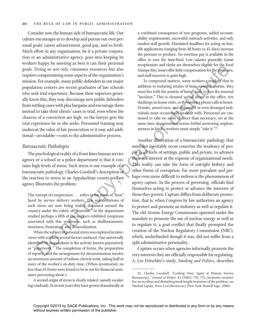#### **20 t h e r u l e of l a w i n p u b l i c a d m i n i s t r at i o n**

Consider now the human side of bureaucratic life. Our culture encourages us to develop and pursue our own personal goals: career advancement, good pay, and so forth. Much effort in any organization, be it a private corporation or an administrative agency, goes into keeping its workers happy by meeting as best it can their personal goals. Doing so not only consumes resources but also requires compromising some aspects of the organization's mission. For example, many public defenders in our major population centers are recent graduates of law schools who seek trial experience. Because their superiors generally know this, they may discourage new public defenders from settling cases with plea bargains and encourage them instead to take their clients' cases to trial, even where the chances of a conviction are high, so the lawyer gets the trial experience he or she seeks. Personnel training may undercut the value of fair prosecution or it may add additional—avoidable—costs to the administrative process.

#### *Bureaucratic Pathologies*

The psychological reality of a front-lines human service agency or a school or a police department is that it contains high levels of stress. Such stress is one example of a bureaucratic pathology. Charles Goodsell's description of the reaction to stress in an Appalachian county welfare agency illustrates the problem:

The concept of compression . . . refers to the stress of "heat" faced by service delivery workers. The manifestations of such stress are now being widely discussed around the country under the rubric of "burnout." In the department studied perhaps a fifth of the workers exhibited symptoms associated with this syndrome, such as disillusionment, weariness, frustration, and demoralization.

When the subject of personal stress was explored in interviews with workers several factors surfaced. One universally identified by respondents is the activity known pejoratively as "paperwork." The completion of forms, the preparation of reports, and the arrangement for documentation involve an enormous amount of tedious clerical work, taking half or more of the worker's on-duty time. (When inventoried, no less than 65 forms were found to be in use for financial assistance processing alone.)

A second origin of stress is clearly related, namely escalating caseloads. In recent years they have grown dramatically as

a combined consequence of new programs, added accountability requirements, successful outreach activities, and only modest staff growth. Mandated deadlines for acting on benefit applications (ranging from 48 hours to 45 days) increase the pressure to produce. No overtime pay is available in the office to ease the time-bind. Low salaries generally (some receptionists and clerks are themselves eligible for the Food Stamps they issue) offer little compensation for the pressures, and staff turnover is quite high.

To compound matters, some workers complain that in addition to enduring strains of time-crowded routine, they must live with the anxiety of being ready to face the unusual "incident." This is shouted verbal abuse at the office, tire slashings on home visits, or threatening phone calls at home. Drunks, armed men, and distraught or even deranged individuals must occasionally be dealt with. Personnel are cautioned to take no more chances than necessary, yet at the same time departmental norms forbid answering unpleasantness in kind—workers must simply "take it."21

Another illustration of a bureaucratic pathology that need not inevitably occur concerns the tendency of people in all sorts of settings, public and private, to advance their self-interest at the expense of organizational needs. This reality can take the form of outright bribery and other forms of corruption. Far more prevalent and perhaps even more difficult to redress is the phenomenon of *agency capture.* In the process of governing, officials find themselves acting to protect or advance the interests of those they govern. Capture differs from deliberate promotion, that is, when Congress by law authorizes an agency to protect and promote an industry as well as regulate it. The old Atomic Energy Commission operated under the mandate to promote the use of nuclear energy as well as to regulate it, a goal conflict that finally prompted the creation of the Nuclear Regulatory Commission (NRC), which, underfunded though it was, did not suffer from a split administrative personality. 1) Only consider the state of the state is the publisher of the state in the state of the publisher. The party of the publisher of the publisher of the publisher of the publisher of the publisher of the publisher of the

Capture occurs when agencies informally promote the very interests they are officially responsible for regulating. A. Lee Fritschler's study, *Smoking and Politics*, describes

<sup>21.</sup> Charles Goodsell, "Looking Once Again at Human Service Bureaucracy," *Journal of Politics* 43 (1981): 770, 771, footnotes omitted. For an excellent and disturbing book-length treatment of the problem, see Michael Lipsky, *Street Level Bureaucracy* (New York: Russell Sage, 1980).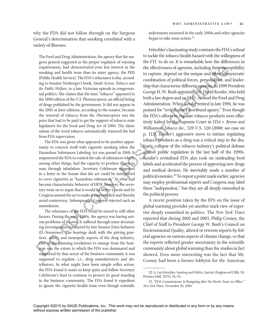why the FDA did not follow through on the Surgeon General's determination that smoking correlated with a variety of illnesses.

The Food and Drug Administration, the agency that the surgeon general suggested as the proper regulator of warning requirements, had demonstrated even less interest in the smoking and health issue than its sister agency, the PHS [Public Health Service]. The FDA's reluctance is due, according to Senator Neuberger's book, *Smoke Screen: Tobacco and the Public Welfare*, to a late Victorian episode in congressional politics. She claims that the item "tobacco" appeared in the 1890 edition of the *U.S. Pharmacopoeia*, an official listing of drugs published by the government. It did not appear in the 1905 or later editions, according to the senator, because the removal of tobacco from the *Pharmacopoeia* was the price that had to be paid to get the support of tobacco state legislators for the Food and Drug Act of 1906. The elimination of the word tobacco automatically removed the leaf from FDA supervision.

The FDA was given what appeared to be another opportunity to concern itself with cigarette smoking when the Hazardous Substances Labeling Act was passed in 1960. It empowered the FDA to control the sale of substances which, among other things, had the capacity to produce illness to man through inhalation. Secretary Celebrezze suggested in a letter to the Senate that the act could be interpreted to cover cigarettes as "hazardous substances." In what had become characteristic behavior of HEW, however, the secretary went on to argue that it would be better to wait and let Congress amend the act to make it more explicit and thereby avoid controversy. Subsequently, Congress rejected such an amendment.

The reluctance of the FDA could be traced to still other factors. During the early 1960s, the agency was having serious problems of its own. It suffered through some devastating investigations conducted by late Senator Estes Kefauver (D.-Tennessee). The hearings dealt with the pricing practices, safety, and monopoly aspects of the drug industry. One of the alarming revelations to emerge from the hearings was the extent to which the FDA was dominated and supported by that sector of the business community it was supposed to regulate, i.e., drug manufacturers and distributors. In what might have been simple reflex action, the FDA found it easier to keep quiet and follow Secretary Celebrezze's lead to continue to protect its good standing in the business community. The FDA found it expedient to ignore the cigarette health issue even though scientific

indictments mounted in the early 1960s and other agencies began to take some action.<sup>22</sup>

Fritschler's fascinating study contrasts the FDA's refusal to tackle the tobacco health hazard with the willingness of the FTC to do so. It is remarkable how the differences in the effectiveness of agencies, including their susceptibility to capture, depend on the unique and often idiosyncratic combination of political forces, personalities, and leadership that characterize different agencies. In 1990 President George H. W. Bush appointed Dr. David Kessler, who held both a law degree and an M.D., to head the Food and Drug Administration. When Kessler retired in late 1996, he was praised for "revitalizing a moribund agency." Even though the FDA's efforts to regulate tobacco products were effectively halted by the Supreme Court in *FDA v. Brown and Williamson Tobacco Inc.,* 529 U.S. 120 (2000; see case on p. 113), Kessler's aggressive move to initiate regulating tobacco products as a drug was a critical step in the dramatic collapse of the tobacco industry's political defense against public regulation in the last half of the 1990s. Kessler's revitalized FDA also took on misleading food labels and accelerated the process of approving new drugs and medical devices. He inevitably made a number of political enemies.23 To repeat a point made earlier, agencies may employ professional experts and Congress may label them "independent," but they are all deeply enmeshed in the political process. requires with distribute between the simulation of the simulation of the effectiveness of agentics, including the<br>proposition of the publisher and the publisher and the publisher. Do not<br>the publisher and the publisher of

A recent position taken by the EPA on the issue of global warming provides yet another stark view of expertise deeply enmeshed in politics. The *New York Times* reported that during 2002 and 2003, Philip Cooney, the Chief of Staff to President George W. Bush's Council on Environmental Quality, altered or rewrote reports by federal agencies on various aspects of climate change, so that the reports reflected greater uncertainty in the scientific community about global warming than the studies in fact showed. Even more interesting was the fact that Mr. Cooney had been a former lobbyist for the American

<sup>22.</sup> A. Lee Fritschler, *Smoking and Politics*, 2nd ed. (Englewood Cliffs, NJ: Prentice-Hall, 1975), 34–35.

<sup>23. &</sup>quot;FDA Commissioner Is Resigning after Six Hectic Years in Office," *New York Times*, November 26, 1996.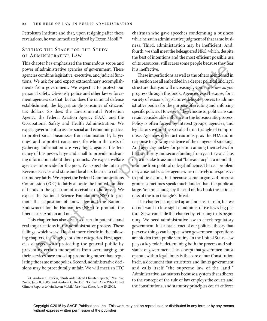Petroleum Institute and that, upon resigning after these revelations, he was immediately hired by Exxon Mobil.<sup>24</sup>

#### **SETTING THE STAGE FOR THE STUDY OF** ADMINISTRATIVE LAW

This chapter has emphasized the tremendous scope and power of administrative agencies of government. These agencies combine legislative, executive, and judicial functions. We ask for and expect extraordinary accomplishments from government. We expect it to protect our personal safety. Obviously police and other law enforcement agencies do that, but so does the national defense establishment, the biggest single consumer of citizens' tax dollars. So does the Environmental Protection Agency, the Federal Aviation Agency (FAA), and the Occupational Safety and Health Administration. We expect government to assure social and economic justice, to protect small businesses from domination by larger ones, and to protect consumers, for whom the costs of gathering information are very high, against the tendency of businesses large and small to provide misleading information about their products. We expect welfare agencies to provide for the poor. We expect the Internal Revenue Service and state and local tax boards to collect tax money fairly. We expect the Federal Communications Commission (FCC) to fairly allocate the limited number of bands in the spectrum of receivable radio waves. We expect the National Science Foundation (NSF) to promote the acquisition of knowledge and the National Endowment for the Humanities (NEH) to promote the liberal arts. And on and on. of administrative agencies of government. These interfections as well as the other superfield and the contents agent and the publisher. We as for and express we for an eigenvection of the publisher of the publisher of the

This chapter has also discussed certain potential and real imperfections in the administrative process. These failings, which we will look at more closely in the following chapters, fall roughly into four categories. First, agencies charged with protecting the general public by preventing certain monopolies from overcharging for their services have ended up promoting rather than regulating the same monopolies. Second, administrative decisions may be procedurally unfair. We will meet an FTC

chairman who gave speeches condemning a business while he sat in administrative judgment of that same business. Third, administration may be inefficient. And, fourth, we shall meet the beleaguered NRC, which, despite the best of intentions and the most efficient possible use of its resources, still scares some people because they fear it is ineffective.

These imperfections as well as the others mentioned in this section are all embedded in a deeper political and legal structure that you will increasingly come to know as you progress through this book. Agencies exist because, for a variety of reasons, legislatures delegate powers to administrative bodies for the purpose of creating and enforcing specific policies. However, if they choose to, politicians can retain considerable influence in the bureaucratic process. Policy is often forged by interest groups, agencies, and legislators within the so-called iron triangle of compromise. Agencies often act cautiously, as the FDA did in response to growing evidence of the dangers of smoking. And agencies jockey for position among themselves for both authority and secure funding from year to year. Thus it is a mistake to assume that "bureaucracy" is a monolith, immune from political or legal influence. The real problem may arise not because agencies are relatively unresponsive to public claims, but because some organized interest groups sometimes speak much louder than the public at large. You must judge by the end of this book the seriousness of the iron triangle's threat.

This chapter has opened up an immense terrain, but we do not want to lose sight of administrative law's big picture. So we conclude this chapter by returning to its beginning. We need administrative law to check regulatory government. It is a basic tenet of our political theory that perverse things can happen when government operations are hidden from public scrutiny. In the United States, law plays a key role in determining both the process and substance of government. The concept that government must operate within legal limits is the core of our Constitution itself, a document that structures and limits government and calls itself "the supreme law of the land." Administrative law matters because a system that adheres to the concept of the rule of law employs the courts and the constitutional and statutory principles courts enforce

<sup>24.</sup> Andrew C. Revkin, "Bush Aide Edited Climate Reports," *New York Times*, June 8, 2005; and Andrew C. Revkin, "Ex Bush Aide Who Edited Climate Reports to Join Exxon Mobil," *New York Times*, June 15, 2005.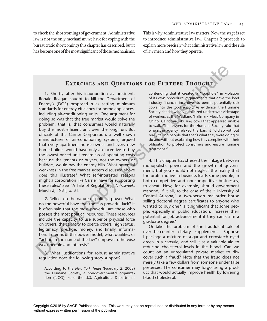to check the shortcomings of government. Administrative law is not the only mechanism we have for coping with the bureaucratic shortcomings this chapter has described, but it has become one of the most significant of those mechanisms.

This is why administrative law matters. Now the stage is set to introduce administrative law. Chapter 2 proceeds to explain more precisely what administrative law and the rule of law mean and how they operate.

## **EXERCISES AND QUESTIONS FOR FURTHER THOUGHT**

**1.** Shortly after his inauguration as president, Ronald Reagan sought to kill the Department of Energy's (DOE) proposed rules setting minimum standards for energy efficiency for home appliances, including air-conditioning units. One argument for doing so was that the free market would solve the problem, that is, that consumers would naturally buy the most efficient unit over the long run. But officials of the Carrier Corporation, a well-known manufacturer of air-conditioning systems, argued that every apartment house owner and every new home builder would have only an incentive to buy the lowest priced unit regardless of operating costs because the tenants or buyers, not the owners or builders, would pay the energy bills. What potential weakness in the free market system discussed above does this illustrate? What self-interested reasons might a corporation like Carrier have for supporting these rules? See "A Tale of Regulation," *Newsweek,*  March 2, 1981, p. 31. **EXERCISES AND QUESTIONS FOR FURTHER THOUGHY<br>
1. Small bestom sought to kill the Department of origin computed rate consider the publisher in the publisher of the publisher of the publisher in the state of the publisher o** 

**2.** Reflect on the nature of political power. What do the powerful have that the less powerful lack? It is often said that the most powerful are those who possess the most political resources. These resources include the capacity to use superior physical force on others, the capacity to coerce others, high status, legitimacy, prestige, money, and finally, information. In terms of this power model, what qualities of "acting in the name of the law" empower otherwise weak people and interests?

**3.** What justifications for robust administrative regulation does the following story support?

According to the *New York Times* (February 2, 2008) the Humane Society, a nongovernmental organization (NGO), sued the U.S. Agriculture Department contending that it created a "loophole" in violation of its own procedural requirements that gave the beef industry financial incentives to permit potentially sick cows into the food supply. As evidence, the Humane Society cited a widely publicized undercover videotape of workers at the Westland/Hallmark Meat Company in Chino, California, abusing cows that appeared unable to walk. The lawyers for the Humane Society said that when the agency relaxed the ban, it "did so without really telling people that that's what they were going to do and without explaining how this complies with their obligation to protect consumers and ensure humane treatment."

**4.** This chapter has stressed the linkage between monopolistic power and the growth of government, but you should not neglect the reality that the profit motive in business leads some people, in both competitive and noncompetitive businesses, to cheat. How, for example, should government respond, if it all, to the case of the "University of Central Arizona," a two-person mailorder house selling doctoral degree certificates to anyone who wanted to buy one? Is it significant that some people, especially in public education, increase their potential for job advancement if they can claim a graduate degree?

Or take the problem of the fraudulent sale of over-the-counter dietary supplements. Suppose I package a mixture of sugar and cornstarch dyed green in a capsule, and sell it as a valuable aid to reducing cholesterol levels in the blood. Can we count on an unregulated private market to discover such a fraud? Note that the fraud does not merely take a few dollars from someone under false pretenses. The consumer may forgo using a product that would actually improve health by lowering blood cholesterol.